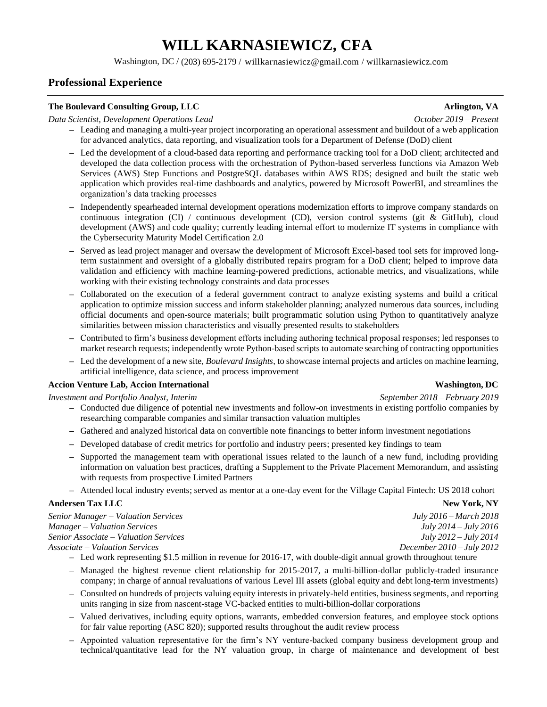# **WILL KARNASIEWICZ, CFA**

Washington, DC / (203) 695-2179 / [willkarnasiewicz@gmail.com](mailto:willkarnasiewicz@gmail.com) / [willkarnasiewicz.com](http://www.willkarnasiewicz.com/)

# **Professional Experience**

### **The Boulevard Consulting Group, LLC** *Arlington, VA*

### *Data Scientist, Development Operations Lead October 2019 – Present*

- **–** Leading and managing a multi-year project incorporating an operational assessment and buildout of a web application for advanced analytics, data reporting, and visualization tools for a Department of Defense (DoD) client
- **–** Led the development of a cloud-based data reporting and performance tracking tool for a DoD client; architected and developed the data collection process with the orchestration of Python-based serverless functions via Amazon Web Services (AWS) Step Functions and PostgreSQL databases within AWS RDS; designed and built the static web application which provides real-time dashboards and analytics, powered by Microsoft PowerBI, and streamlines the organization's data tracking processes
- **–** Independently spearheaded internal development operations modernization efforts to improve company standards on continuous integration (CI) / continuous development (CD), version control systems (git & GitHub), cloud development (AWS) and code quality; currently leading internal effort to modernize IT systems in compliance with the Cybersecurity Maturity Model Certification 2.0
- **–** Served as lead project manager and oversaw the development of Microsoft Excel-based tool sets for improved longterm sustainment and oversight of a globally distributed repairs program for a DoD client; helped to improve data validation and efficiency with machine learning-powered predictions, actionable metrics, and visualizations, while working with their existing technology constraints and data processes
- **–** Collaborated on the execution of a federal government contract to analyze existing systems and build a critical application to optimize mission success and inform stakeholder planning; analyzed numerous data sources, including official documents and open-source materials; built programmatic solution using Python to quantitatively analyze similarities between mission characteristics and visually presented results to stakeholders
- **–** Contributed to firm's business development efforts including authoring technical proposal responses; led responses to market research requests; independently wrote Python-based scripts to automate searching of contracting opportunities
- **–** Led the development of a new site, *[Boulevard Insights](https://blvdinsights.com/)*, to showcase internal projects and articles on machine learning, artificial intelligence, data science, and process improvement

# **[Accion Venture Lab, Accion International](https://www.accion.org/how-we-work/invest/accion-venture-lab) Washington, DC**

### *Investment and Portfolio Analyst, Interim* September 2018 – *February 2019 September 2018 – February 2019*

- **–** Conducted due diligence of potential new investments and follow-on investments in existing portfolio companies by researching comparable companies and similar transaction valuation multiples
- **–** Gathered and analyzed historical data on convertible note financings to better inform investment negotiations
- **–** Developed database of credit metrics for portfolio and industry peers; presented key findings to team
- **–** Supported the management team with operational issues related to the launch of a new fund, including providing information on valuation best practices, drafting a Supplement to the Private Placement Memorandum, and assisting with requests from prospective Limited Partners
- **–** Attended local industry events; served as mentor at a one-day event for the Village Capital Fintech: US 2018 cohort

# **[Andersen Tax LLC](http://www.andersentax.com/)** New York, NY

*Senior Manager – Valuation Services July 2016 – March 2018 Manager – Valuation Services July 2014 – July 2016 Senior Associate – Valuation Services July 2012 – July 2014 Associate – Valuation Services December 2010 – July 2012*

- **–** Led work representing \$1.5 million in revenue for 2016-17, with double-digit annual growth throughout tenure
- **–** Managed the highest revenue client relationship for 2015-2017, a multi-billion-dollar publicly-traded insurance company; in charge of annual revaluations of various Level III assets (global equity and debt long-term investments)
- **–** Consulted on hundreds of projects valuing equity interests in privately-held entities, business segments, and reporting units ranging in size from nascent-stage VC-backed entities to multi-billion-dollar corporations
- **–** Valued derivatives, including equity options, warrants, embedded conversion features, and employee stock options for fair value reporting (ASC 820); supported results throughout the audit review process
- **–** Appointed valuation representative for the firm's NY venture-backed company business development group and technical/quantitative lead for the NY valuation group, in charge of maintenance and development of best